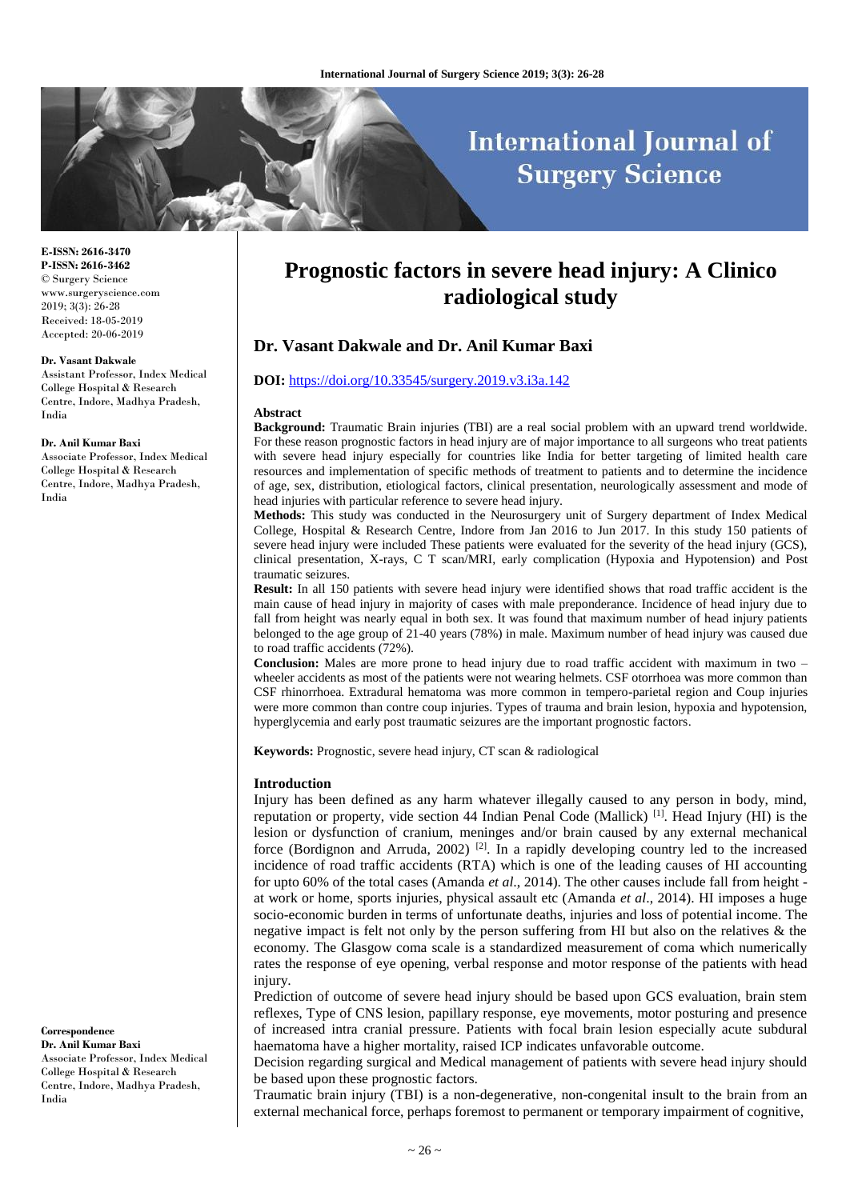# **International Journal of Surgery Science**

#### **E-ISSN: 2616-3470 P-ISSN: 2616-3462** © Surgery Science www.surgeryscience.com 2019; 3(3): 26-28 Received: 18-05-2019 Accepted: 20-06-2019

#### **Dr. Vasant Dakwale**

Assistant Professor, Index Medical College Hospital & Research Centre, Indore, Madhya Pradesh, India

#### **Dr. Anil Kumar Baxi**

Associate Professor, Index Medical College Hospital & Research Centre, Indore, Madhya Pradesh, India

**Correspondence**

**Dr. Anil Kumar Baxi** Associate Professor, Index Medical College Hospital & Research Centre, Indore, Madhya Pradesh, India

## **Prognostic factors in severe head injury: A Clinico radiological study**

## **Dr. Vasant Dakwale and Dr. Anil Kumar Baxi**

#### **DOI:** <https://doi.org/10.33545/surgery.2019.v3.i3a.142>

#### **Abstract**

**Background:** Traumatic Brain injuries (TBI) are a real social problem with an upward trend worldwide. For these reason prognostic factors in head injury are of major importance to all surgeons who treat patients with severe head injury especially for countries like India for better targeting of limited health care resources and implementation of specific methods of treatment to patients and to determine the incidence of age, sex, distribution, etiological factors, clinical presentation, neurologically assessment and mode of head injuries with particular reference to severe head injury.

**Methods:** This study was conducted in the Neurosurgery unit of Surgery department of Index Medical College, Hospital & Research Centre, Indore from Jan 2016 to Jun 2017. In this study 150 patients of severe head injury were included These patients were evaluated for the severity of the head injury (GCS), clinical presentation, X-rays, C T scan/MRI, early complication (Hypoxia and Hypotension) and Post traumatic seizures.

**Result:** In all 150 patients with severe head injury were identified shows that road traffic accident is the main cause of head injury in majority of cases with male preponderance. Incidence of head injury due to fall from height was nearly equal in both sex. It was found that maximum number of head injury patients belonged to the age group of 21-40 years (78%) in male. Maximum number of head injury was caused due to road traffic accidents (72%).

**Conclusion:** Males are more prone to head injury due to road traffic accident with maximum in two – wheeler accidents as most of the patients were not wearing helmets. CSF otorrhoea was more common than CSF rhinorrhoea. Extradural hematoma was more common in tempero-parietal region and Coup injuries were more common than contre coup injuries. Types of trauma and brain lesion, hypoxia and hypotension, hyperglycemia and early post traumatic seizures are the important prognostic factors.

**Keywords:** Prognostic, severe head injury, CT scan & radiological

#### **Introduction**

Injury has been defined as any harm whatever illegally caused to any person in body, mind, reputation or property, vide section 44 Indian Penal Code (Mallick) [1]. Head Injury (HI) is the lesion or dysfunction of cranium, meninges and/or brain caused by any external mechanical force (Bordignon and Arruda, 2002)<sup>[2]</sup>. In a rapidly developing country led to the increased incidence of road traffic accidents (RTA) which is one of the leading causes of HI accounting for upto 60% of the total cases (Amanda *et al*., 2014). The other causes include fall from height at work or home, sports injuries, physical assault etc (Amanda *et al*., 2014). HI imposes a huge socio-economic burden in terms of unfortunate deaths, injuries and loss of potential income. The negative impact is felt not only by the person suffering from HI but also on the relatives & the economy. The Glasgow coma scale is a standardized measurement of coma which numerically rates the response of eye opening, verbal response and motor response of the patients with head injury.

Prediction of outcome of severe head injury should be based upon GCS evaluation, brain stem reflexes, Type of CNS lesion, papillary response, eye movements, motor posturing and presence of increased intra cranial pressure. Patients with focal brain lesion especially acute subdural haematoma have a higher mortality, raised ICP indicates unfavorable outcome.

Decision regarding surgical and Medical management of patients with severe head injury should be based upon these prognostic factors.

Traumatic brain injury (TBI) is a non-degenerative, non-congenital insult to the brain from an external mechanical force, perhaps foremost to permanent or temporary impairment of cognitive,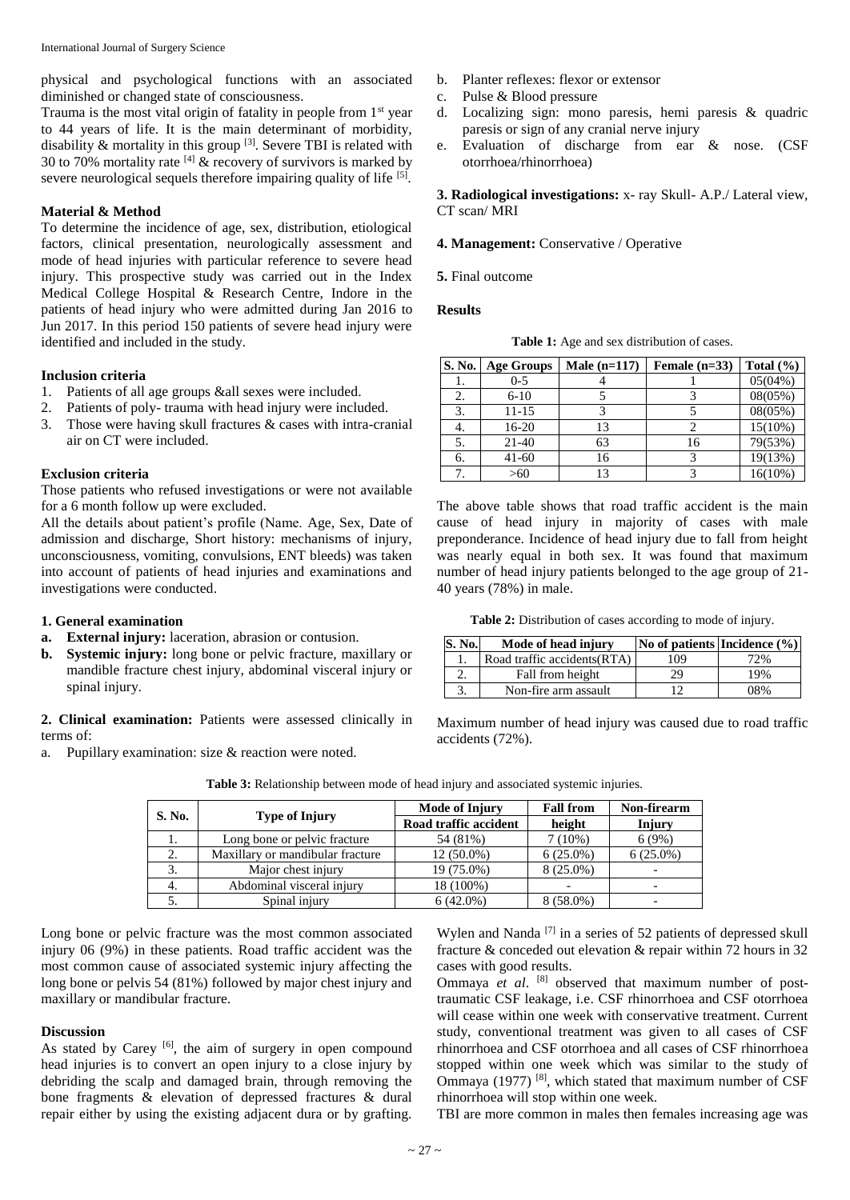physical and psychological functions with an associated diminished or changed state of consciousness.

Trauma is the most vital origin of fatality in people from  $1<sup>st</sup>$  year to 44 years of life. It is the main determinant of morbidity, disability & mortality in this group [3]. Severe TBI is related with 30 to 70% mortality rate  $^{[4]}$  & recovery of survivors is marked by severe neurological sequels therefore impairing quality of life <sup>[5]</sup>.

## **Material & Method**

To determine the incidence of age, sex, distribution, etiological factors, clinical presentation, neurologically assessment and mode of head injuries with particular reference to severe head injury. This prospective study was carried out in the Index Medical College Hospital & Research Centre, Indore in the patients of head injury who were admitted during Jan 2016 to Jun 2017. In this period 150 patients of severe head injury were identified and included in the study.

## **Inclusion criteria**

- 1. Patients of all age groups &all sexes were included.
- 2. Patients of poly- trauma with head injury were included.
- 3. Those were having skull fractures & cases with intra-cranial air on CT were included.

## **Exclusion criteria**

Those patients who refused investigations or were not available for a 6 month follow up were excluded.

All the details about patient's profile (Name. Age, Sex, Date of admission and discharge, Short history: mechanisms of injury, unconsciousness, vomiting, convulsions, ENT bleeds) was taken into account of patients of head injuries and examinations and investigations were conducted.

## **1. General examination**

- **a. External injury:** laceration, abrasion or contusion.
- **b. Systemic injury:** long bone or pelvic fracture, maxillary or mandible fracture chest injury, abdominal visceral injury or spinal injury.

**2. Clinical examination:** Patients were assessed clinically in terms of:

a. Pupillary examination: size & reaction were noted.

- b. Planter reflexes: flexor or extensor
- c. Pulse & Blood pressure
- d. Localizing sign: mono paresis, hemi paresis & quadric paresis or sign of any cranial nerve injury
- e. Evaluation of discharge from ear & nose. (CSF otorrhoea/rhinorrhoea)

**3. Radiological investigations:** x- ray Skull- A.P./ Lateral view, CT scan/ MRI

**4. Management:** Conservative / Operative

**5.** Final outcome

### **Results**

**Table 1:** Age and sex distribution of cases.

| <b>S. No.</b> | <b>Age Groups</b> | Male $(n=117)$ | Female $(n=33)$ | Total $(\% )$ |
|---------------|-------------------|----------------|-----------------|---------------|
|               | $0 - 5$           |                |                 | $05(04\%)$    |
| 2.            | $6 - 10$          |                |                 | 08(05%)       |
|               | 11-15             |                |                 | 08(05%)       |
| 4.            | 16-20             | 13             |                 | $15(10\%)$    |
| 5.            | 21-40             | 63             | 16              | 79(53%)       |
| 6.            | $41 - 60$         | 16             |                 | 19(13%)       |
|               | >60               | 13             |                 | $16(10\%)$    |

The above table shows that road traffic accident is the main cause of head injury in majority of cases with male preponderance. Incidence of head injury due to fall from height was nearly equal in both sex. It was found that maximum number of head injury patients belonged to the age group of 21- 40 years (78%) in male.

**Table 2:** Distribution of cases according to mode of injury.

| S. No. | Mode of head injury          |     | No of patients Incidence $(\% )$ |
|--------|------------------------------|-----|----------------------------------|
|        | Road traffic accidents (RTA) | 109 | 72%                              |
|        | Fall from height             | 29  | 19%                              |
|        | Non-fire arm assault         |     | 08%                              |

Maximum number of head injury was caused due to road traffic accidents (72%).

| S. No. |                                  | <b>Mode of Injury</b> | <b>Fall from</b> | Non-firearm |
|--------|----------------------------------|-----------------------|------------------|-------------|
|        | <b>Type of Injury</b>            | Road traffic accident | height           | Injury      |
| ı.     | Long bone or pelvic fracture     | 54 (81%)              | $7(10\%)$        | 6(9%)       |
| 2.     | Maxillary or mandibular fracture | $12(50.0\%)$          | $6(25.0\%)$      | $6(25.0\%)$ |
| 3.     | Major chest injury               | 19 (75.0%)            | 8 (25.0%)        |             |
| 4.     | Abdominal visceral injury        | 18 (100%)             |                  |             |
|        | Spinal injury                    | $6(42.0\%)$           | $8(58.0\%)$      |             |

**Table 3:** Relationship between mode of head injury and associated systemic injuries.

Long bone or pelvic fracture was the most common associated injury 06 (9%) in these patients. Road traffic accident was the most common cause of associated systemic injury affecting the long bone or pelvis 54 (81%) followed by major chest injury and maxillary or mandibular fracture.

#### **Discussion**

As stated by Carey  $[6]$ , the aim of surgery in open compound head injuries is to convert an open injury to a close injury by debriding the scalp and damaged brain, through removing the bone fragments & elevation of depressed fractures & dural repair either by using the existing adjacent dura or by grafting.

Wylen and Nanda<sup>[7]</sup> in a series of 52 patients of depressed skull fracture & conceded out elevation & repair within 72 hours in 32 cases with good results.

Ommaya et al. <sup>[8]</sup> observed that maximum number of posttraumatic CSF leakage, i.e. CSF rhinorrhoea and CSF otorrhoea will cease within one week with conservative treatment. Current study, conventional treatment was given to all cases of CSF rhinorrhoea and CSF otorrhoea and all cases of CSF rhinorrhoea stopped within one week which was similar to the study of Ommaya (1977) [8], which stated that maximum number of CSF rhinorrhoea will stop within one week.

TBI are more common in males then females increasing age was